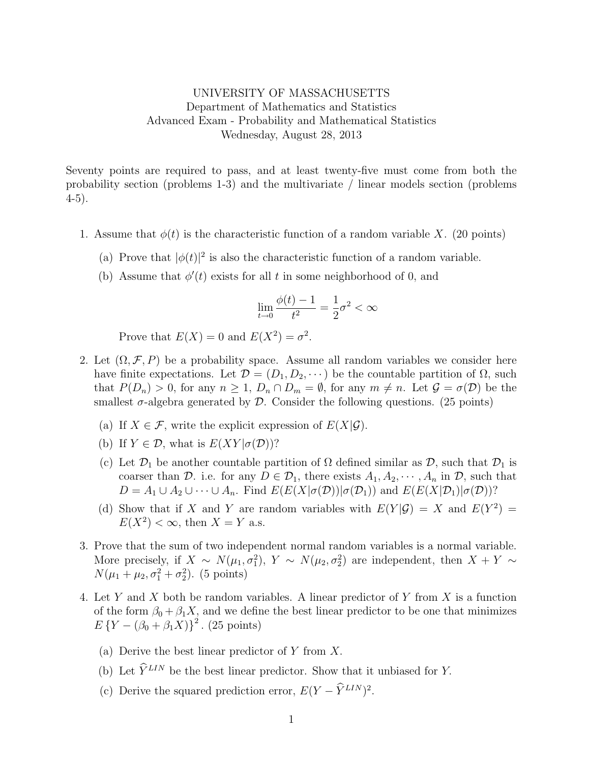## UNIVERSITY OF MASSACHUSETTS Department of Mathematics and Statistics Advanced Exam - Probability and Mathematical Statistics Wednesday, August 28, 2013

Seventy points are required to pass, and at least twenty-five must come from both the probability section (problems 1-3) and the multivariate / linear models section (problems 4-5).

- 1. Assume that  $\phi(t)$  is the characteristic function of a random variable X. (20 points)
	- (a) Prove that  $|\phi(t)|^2$  is also the characteristic function of a random variable.
	- (b) Assume that  $\phi'(t)$  exists for all t in some neighborhood of 0, and

$$
\lim_{t \to 0} \frac{\phi(t) - 1}{t^2} = \frac{1}{2}\sigma^2 < \infty
$$

Prove that  $E(X) = 0$  and  $E(X^2) = \sigma^2$ .

- 2. Let  $(\Omega, \mathcal{F}, P)$  be a probability space. Assume all random variables we consider here have finite expectations. Let  $\mathcal{D} = (D_1, D_2, \dots)$  be the countable partition of  $\Omega$ , such that  $P(D_n) > 0$ , for any  $n \geq 1$ ,  $D_n \cap D_m = \emptyset$ , for any  $m \neq n$ . Let  $\mathcal{G} = \sigma(\mathcal{D})$  be the smallest  $\sigma$ -algebra generated by  $\mathcal D$ . Consider the following questions. (25 points)
	- (a) If  $X \in \mathcal{F}$ , write the explicit expression of  $E(X|\mathcal{G})$ .
	- (b) If  $Y \in \mathcal{D}$ , what is  $E(XY | \sigma(\mathcal{D}))$ ?
	- (c) Let  $\mathcal{D}_1$  be another countable partition of  $\Omega$  defined similar as  $\mathcal{D}_2$ , such that  $\mathcal{D}_1$  is coarser than D. i.e. for any  $D \in \mathcal{D}_1$ , there exists  $A_1, A_2, \cdots, A_n$  in D, such that  $D = A_1 \cup A_2 \cup \cdots \cup A_n$ . Find  $E(E(X|\sigma(\mathcal{D}))|\sigma(\mathcal{D}_1))$  and  $E(E(X|\mathcal{D}_1)|\sigma(\mathcal{D}))$ ?
	- (d) Show that if X and Y are random variables with  $E(Y|\mathcal{G}) = X$  and  $E(Y^2) =$  $E(X^2) < \infty$ , then  $X = Y$  a.s.
- 3. Prove that the sum of two independent normal random variables is a normal variable. More precisely, if  $X \sim N(\mu_1, \sigma_1^2)$ ,  $Y \sim N(\mu_2, \sigma_2^2)$  are independent, then  $X + Y \sim$  $N(\mu_1 + \mu_2, \sigma_1^2 + \sigma_2^2)$ . (5 points)
- 4. Let Y and X both be random variables. A linear predictor of Y from X is a function of the form  $\beta_0 + \beta_1 X$ , and we define the best linear predictor to be one that minimizes  $E\{Y-(\beta_0+\beta_1X)\}^2$ . (25 points)
	- (a) Derive the best linear predictor of  $Y$  from  $X$ .
	- (b) Let  $\widehat{Y}^{LIN}$  be the best linear predictor. Show that it unbiased for Y.
	- (c) Derive the squared prediction error,  $E(Y \hat{Y}^{LIN})^2$ .